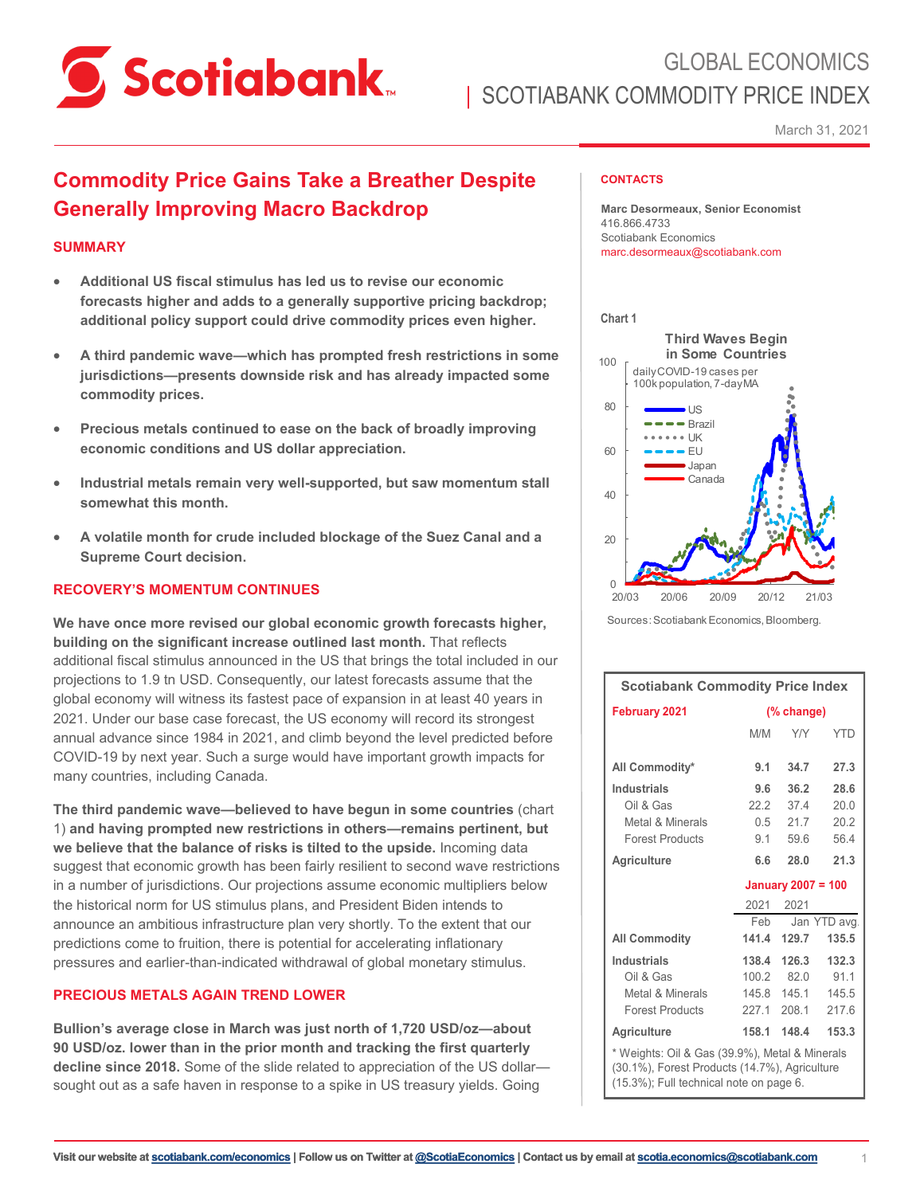

March 31, 2021

# **Commodity Price Gains Take a Breather Despite Generally Improving Macro Backdrop**

# **SUMMARY**

- **Additional US fiscal stimulus has led us to revise our economic forecasts higher and adds to a generally supportive pricing backdrop; additional policy support could drive commodity prices even higher.**
- **A third pandemic wave—which has prompted fresh restrictions in some jurisdictions—presents downside risk and has already impacted some commodity prices.**
- **Precious metals continued to ease on the back of broadly improving economic conditions and US dollar appreciation.**
- **Industrial metals remain very well-supported, but saw momentum stall somewhat this month.**
- **A volatile month for crude included blockage of the Suez Canal and a Supreme Court decision.**

# **RECOVERY'S MOMENTUM CONTINUES**

**We have once more revised our global economic growth forecasts higher, building on the significant increase outlined last month.** That reflects additional fiscal stimulus announced in the US that brings the total included in our projections to 1.9 tn USD. Consequently, our latest forecasts assume that the global economy will witness its fastest pace of expansion in at least 40 years in 2021. Under our base case forecast, the US economy will record its strongest annual advance since 1984 in 2021, and climb beyond the level predicted before COVID-19 by next year. Such a surge would have important growth impacts for many countries, including Canada.

**The third pandemic wave—believed to have begun in some countries** (chart 1) **and having prompted new restrictions in others—remains pertinent, but we believe that the balance of risks is tilted to the upside.** Incoming data suggest that economic growth has been fairly resilient to second wave restrictions in a number of jurisdictions. Our projections assume economic multipliers below the historical norm for US stimulus plans, and President Biden intends to announce an ambitious infrastructure plan very shortly. To the extent that our predictions come to fruition, there is potential for accelerating inflationary pressures and earlier-than-indicated withdrawal of global monetary stimulus.

## **PRECIOUS METALS AGAIN TREND LOWER**

**Bullion's average close in March was just north of 1,720 USD/oz—about 90 USD/oz. lower than in the prior month and tracking the first quarterly decline since 2018.** Some of the slide related to appreciation of the US dollar sought out as a safe haven in response to a spike in US treasury yields. Going

### **CONTACTS**

**Marc Desormeaux, Senior Economist** 416.866.4733 Scotiabank Economics marc.desormeaux@scotiabank.com



Sources:Scotiabank Economics, Bloomberg.

| <b>Scotiabank Commodity Price Index</b>                                                                                                    |                           |                                                   |                                 |  |  |
|--------------------------------------------------------------------------------------------------------------------------------------------|---------------------------|---------------------------------------------------|---------------------------------|--|--|
| <b>February 2021</b>                                                                                                                       | (% change)                |                                                   |                                 |  |  |
|                                                                                                                                            | M/M                       | <b>Y/Y</b>                                        | <b>YTD</b>                      |  |  |
| All Commodity*                                                                                                                             | 9.1                       | 34.7                                              | 27.3                            |  |  |
| <b>Industrials</b><br>Oil & Gas<br>Metal & Minerals<br><b>Forest Products</b>                                                              | 9.6                       | 36.2<br>22.2 37.4<br>$0.5$ 21.7<br>9.1 59.6       | 28.6<br>20.0<br>20.2<br>564     |  |  |
| <b>Agriculture</b>                                                                                                                         | 6.6                       | 28.0                                              | 21.3                            |  |  |
|                                                                                                                                            | <b>January 2007 = 100</b> |                                                   |                                 |  |  |
|                                                                                                                                            |                           | 2021 2021                                         |                                 |  |  |
| <b>All Commodity</b>                                                                                                                       | Feb<br>141.4              | 129.7                                             | Jan YTD avg.<br>135.5           |  |  |
| Industrials<br>Oil & Gas<br>Metal & Minerals<br><b>Forest Products</b>                                                                     | 100.2                     | 138.4 126.3<br>82.0<br>145.8 145.1<br>227.1 208.1 | 132.3<br>91.1<br>145.5<br>217.6 |  |  |
| <b>Agriculture</b>                                                                                                                         | 158.1                     | 148.4                                             | 153.3                           |  |  |
| * Weights: Oil & Gas (39.9%), Metal & Minerals<br>(30.1%), Forest Products (14.7%), Agriculture<br>(15.3%); Full technical note on page 6. |                           |                                                   |                                 |  |  |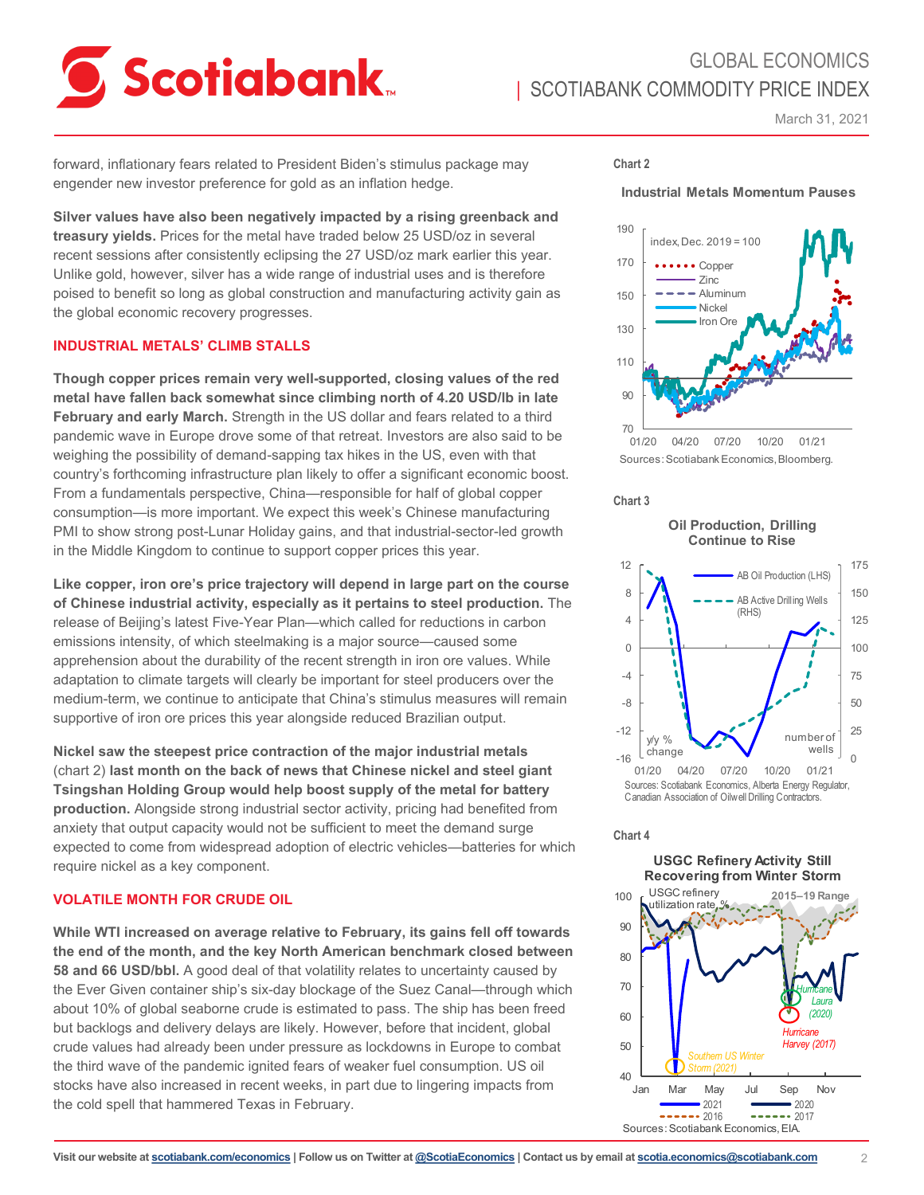

March 31, 2021

forward, inflationary fears related to President Biden's stimulus package may engender new investor preference for gold as an inflation hedge.

**Silver values have also been negatively impacted by a rising greenback and treasury yields.** Prices for the metal have traded below 25 USD/oz in several recent sessions after consistently eclipsing the 27 USD/oz mark earlier this year. Unlike gold, however, silver has a wide range of industrial uses and is therefore poised to benefit so long as global construction and manufacturing activity gain as the global economic recovery progresses.

### **INDUSTRIAL METALS' CLIMB STALLS**

**Though copper prices remain very well-supported, closing values of the red metal have fallen back somewhat since climbing north of 4.20 USD/lb in late February and early March.** Strength in the US dollar and fears related to a third pandemic wave in Europe drove some of that retreat. Investors are also said to be weighing the possibility of demand-sapping tax hikes in the US, even with that country's forthcoming infrastructure plan likely to offer a significant economic boost. From a fundamentals perspective, China—responsible for half of global copper consumption—is more important. We expect this week's Chinese manufacturing PMI to show strong post-Lunar Holiday gains, and that industrial-sector-led growth in the Middle Kingdom to continue to support copper prices this year.

**Like copper, iron ore's price trajectory will depend in large part on the course of Chinese industrial activity, especially as it pertains to steel production.** The release of Beijing's latest Five-Year Plan—which called for reductions in carbon emissions intensity, of which steelmaking is a major source—caused some apprehension about the durability of the recent strength in iron ore values. While adaptation to climate targets will clearly be important for steel producers over the medium-term, we continue to anticipate that China's stimulus measures will remain supportive of iron ore prices this year alongside reduced Brazilian output.

**Nickel saw the steepest price contraction of the major industrial metals**  (chart 2) **last month on the back of news that Chinese nickel and steel giant Tsingshan Holding Group would help boost supply of the metal for battery production.** Alongside strong industrial sector activity, pricing had benefited from anxiety that output capacity would not be sufficient to meet the demand surge expected to come from widespread adoption of electric vehicles—batteries for which require nickel as a key component.

# **VOLATILE MONTH FOR CRUDE OIL**

**While WTI increased on average relative to February, its gains fell off towards the end of the month, and the key North American benchmark closed between 58 and 66 USD/bbl.** A good deal of that volatility relates to uncertainty caused by the Ever Given container ship's six-day blockage of the Suez Canal—through which about 10% of global seaborne crude is estimated to pass. The ship has been freed but backlogs and delivery delays are likely. However, before that incident, global crude values had already been under pressure as lockdowns in Europe to combat the third wave of the pandemic ignited fears of weaker fuel consumption. US oil stocks have also increased in recent weeks, in part due to lingering impacts from the cold spell that hammered Texas in February.

### **Chart 2**





Sources: Scotiabank Economics, Bloomberg.

**Chart 3**

**Oil Production, Drilling**



#### **Chart 4**

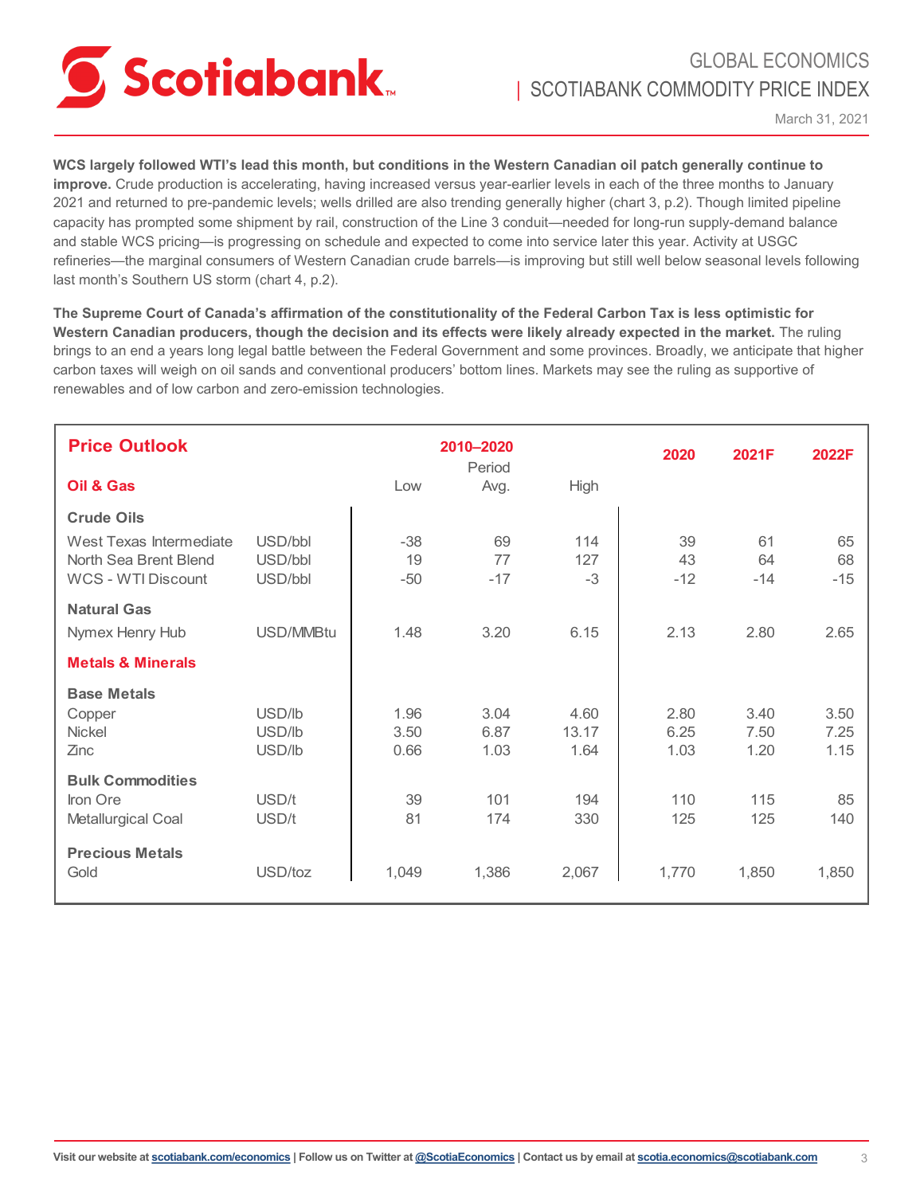

**WCS largely followed WTI's lead this month, but conditions in the Western Canadian oil patch generally continue to improve.** Crude production is accelerating, having increased versus year-earlier levels in each of the three months to January 2021 and returned to pre-pandemic levels; wells drilled are also trending generally higher (chart 3, p.2). Though limited pipeline capacity has prompted some shipment by rail, construction of the Line 3 conduit—needed for long-run supply-demand balance and stable WCS pricing—is progressing on schedule and expected to come into service later this year. Activity at USGC refineries—the marginal consumers of Western Canadian crude barrels—is improving but still well below seasonal levels following last month's Southern US storm (chart 4, p.2).

**The Supreme Court of Canada's affirmation of the constitutionality of the Federal Carbon Tax is less optimistic for Western Canadian producers, though the decision and its effects were likely already expected in the market.** The ruling brings to an end a years long legal battle between the Federal Government and some provinces. Broadly, we anticipate that higher carbon taxes will weigh on oil sands and conventional producers' bottom lines. Markets may see the ruling as supportive of renewables and of low carbon and zero-emission technologies.

| <b>Price Outlook</b>                                                                |                               |                      | 2010-2020<br>Period  |                       | 2020                 | 2021F                | 2022F                |
|-------------------------------------------------------------------------------------|-------------------------------|----------------------|----------------------|-----------------------|----------------------|----------------------|----------------------|
| Oil & Gas                                                                           |                               | Low                  | Avg.                 | High                  |                      |                      |                      |
| <b>Crude Oils</b>                                                                   |                               |                      |                      |                       |                      |                      |                      |
| West Texas Intermediate<br>North Sea Brent Blend<br>WCS - WTI Discount              | USD/bbl<br>USD/bbl<br>USD/bbl | $-38$<br>19<br>$-50$ | 69<br>77<br>$-17$    | 114<br>127<br>$-3$    | 39<br>43<br>$-12$    | 61<br>64<br>$-14$    | 65<br>68<br>$-15$    |
| <b>Natural Gas</b><br>Nymex Henry Hub                                               | USD/MMBtu                     | 1.48                 | 3.20                 | 6.15                  | 2.13                 | 2.80                 | 2.65                 |
| <b>Metals &amp; Minerals</b>                                                        |                               |                      |                      |                       |                      |                      |                      |
| <b>Base Metals</b><br>Copper<br><b>Nickel</b><br>Zinc                               | USD/lb<br>USD/lb<br>USD/lb    | 1.96<br>3.50<br>0.66 | 3.04<br>6.87<br>1.03 | 4.60<br>13.17<br>1.64 | 2.80<br>6.25<br>1.03 | 3.40<br>7.50<br>1.20 | 3.50<br>7.25<br>1.15 |
| <b>Bulk Commodities</b><br>Iron Ore<br>Metallurgical Coal<br><b>Precious Metals</b> | USD/t<br>USD/t                | 39<br>81             | 101<br>174           | 194<br>330            | 110<br>125           | 115<br>125           | 85<br>140            |
| Gold                                                                                | USD/toz                       | 1,049                | 1,386                | 2,067                 | 1,770                | 1,850                | 1,850                |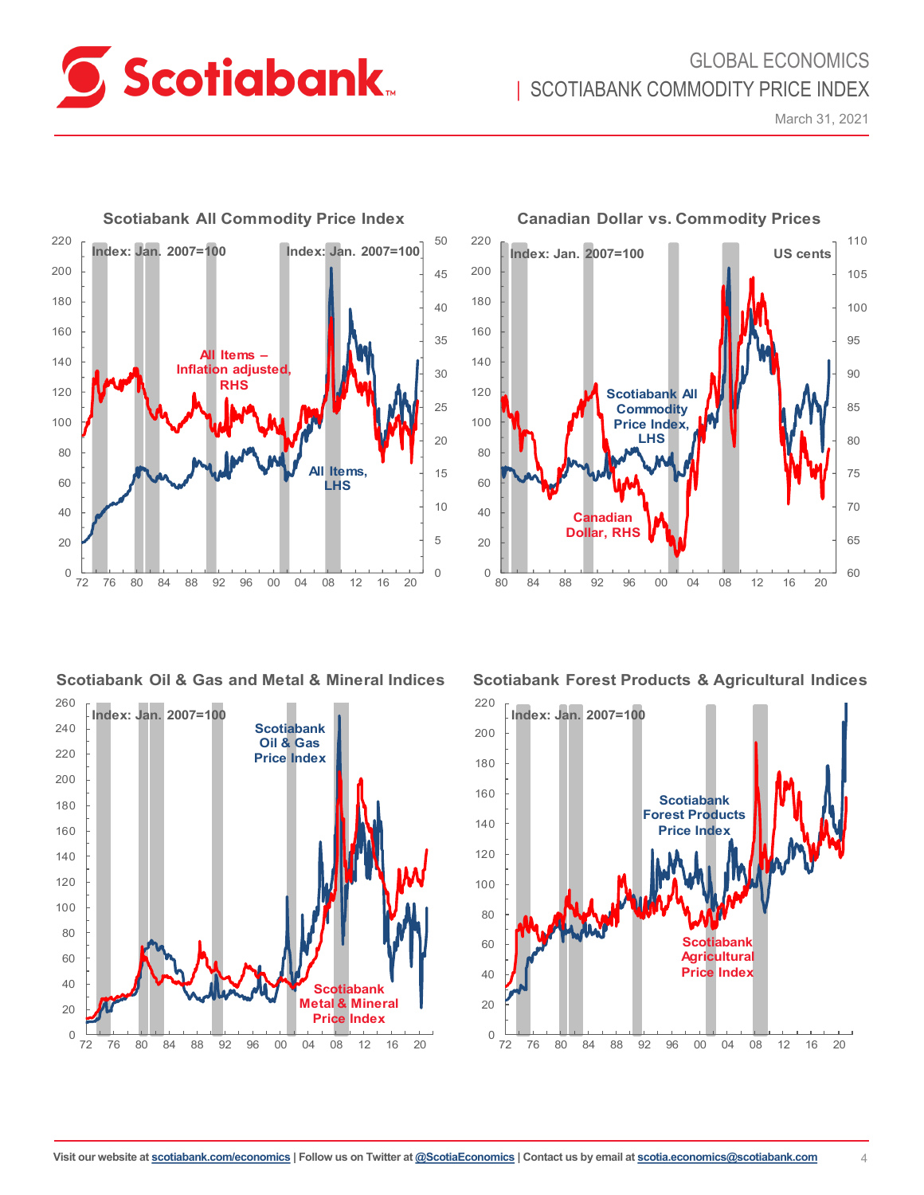

# GLOBAL ECONOMICS | SCOTIABANK COMMODITY PRICE INDEX

March 31, 2021



## **Scotiabank Oil & Gas and Metal & Mineral Indices**





**Scotiabank Forest Products & Agricultural Indices**



**Canadian Dollar vs. Commodity Prices**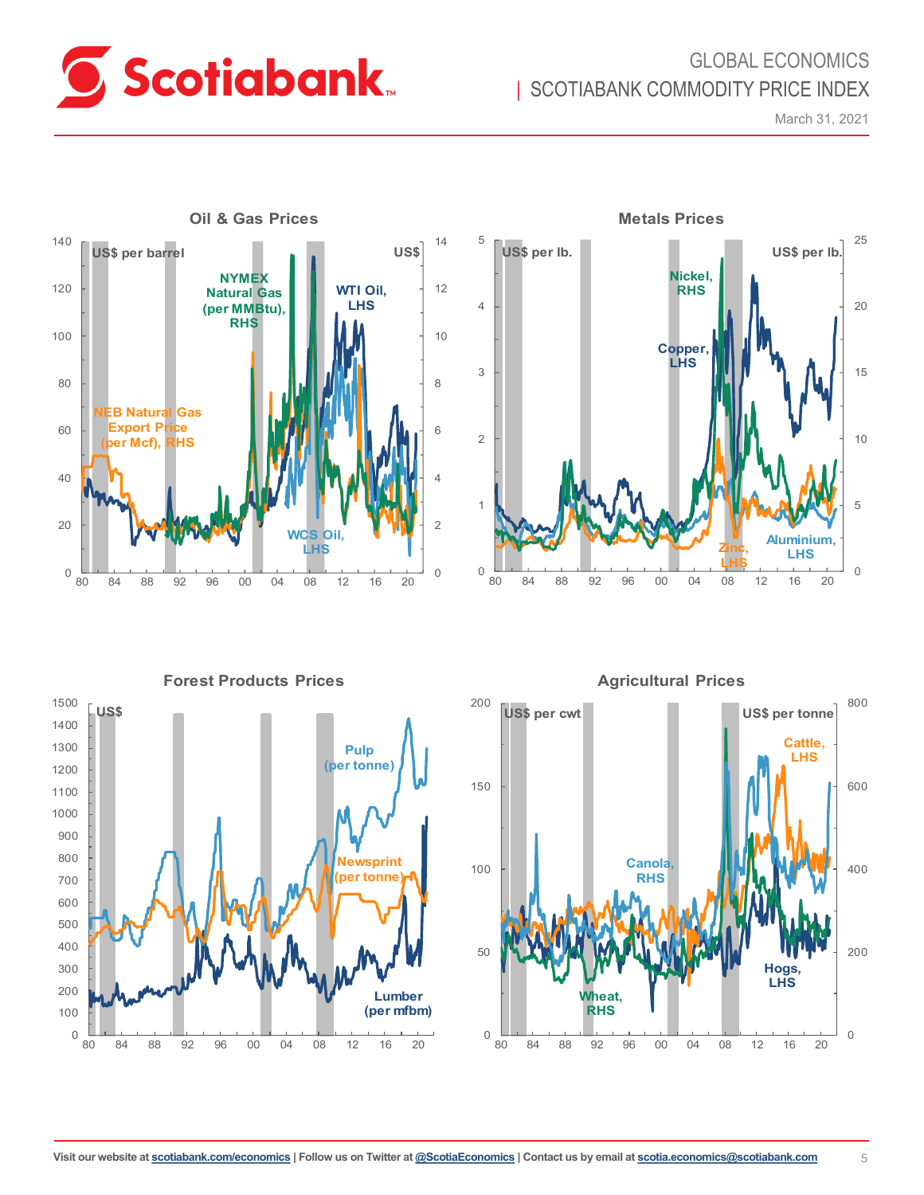

# GLOBAL ECONOMICS | SCOTIABANK COMMODITY PRICE INDEX

March 31, 2021





**Forest Products Prices**



0 200 400 600 800 0 50 100 150 200 80 84 88 92 96 00 04 08 12 16 20 **US\$ per cwt Hogs, LHS US\$ per tonne Cattle, LHS Wheat, RHS Canola, RHS**

**Agricultural Prices**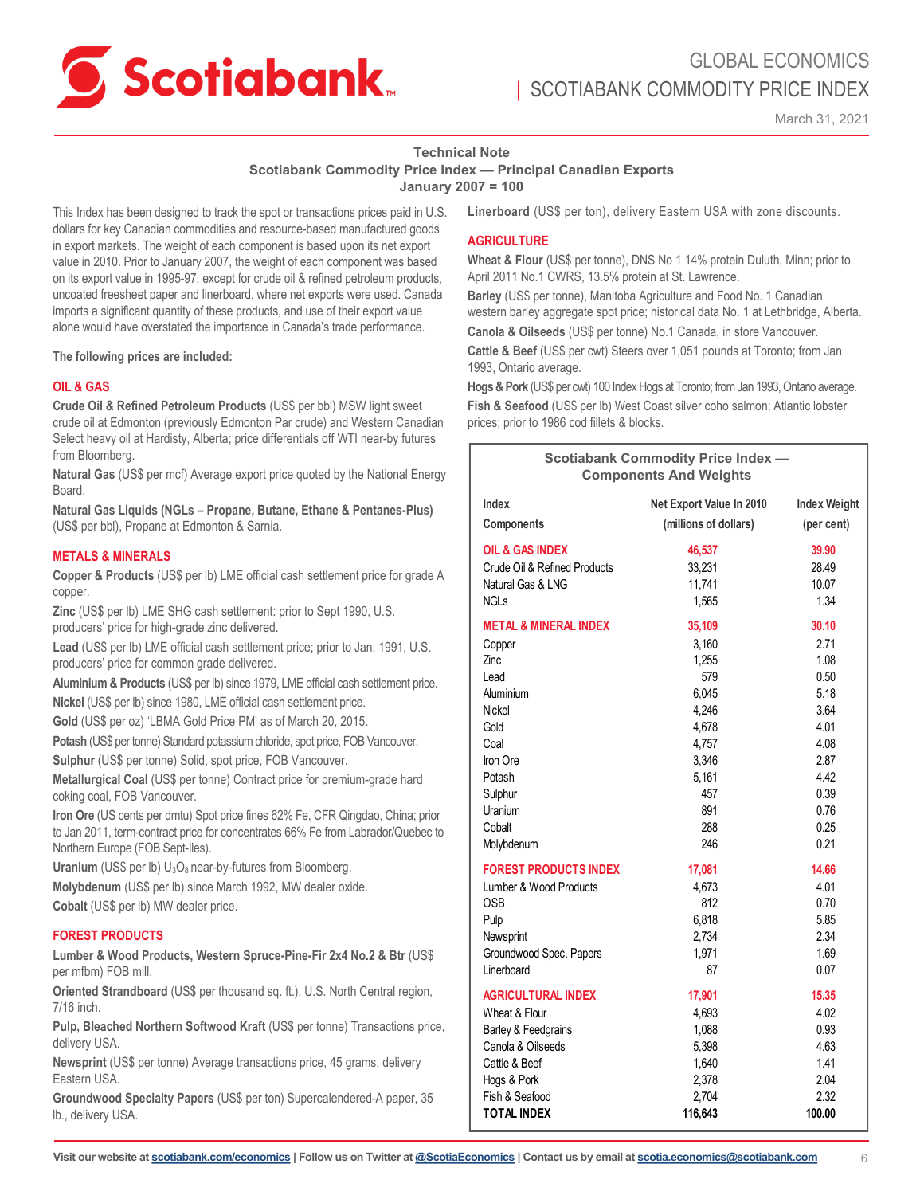

# GLOBAL ECONOMICS | SCOTIABANK COMMODITY PRICE INDEX

March 31, 2021

# **Technical Note**

**Scotiabank Commodity Price Index — Principal Canadian Exports**

**January 2007 = 100**

This Index has been designed to track the spot or transactions prices paid in U.S. dollars for key Canadian commodities and resource-based manufactured goods in export markets. The weight of each component is based upon its net export value in 2010. Prior to January 2007, the weight of each component was based on its export value in 1995-97, except for crude oil & refined petroleum products, uncoated freesheet paper and linerboard, where net exports were used. Canada imports a significant quantity of these products, and use of their export value alone would have overstated the importance in Canada's trade performance.

**The following prices are included:** 

### **OIL & GAS**

**Crude Oil & Refined Petroleum Products** (US\$ per bbl) MSW light sweet crude oil at Edmonton (previously Edmonton Par crude) and Western Canadian Select heavy oil at Hardisty, Alberta; price differentials off WTI near-by futures from Bloomberg.

**Natural Gas** (US\$ per mcf) Average export price quoted by the National Energy Board.

**Natural Gas Liquids (NGLs – Propane, Butane, Ethane & Pentanes-Plus)** (US\$ per bbl), Propane at Edmonton & Sarnia.

### **METALS & MINERALS**

**Copper & Products** (US\$ per lb) LME official cash settlement price for grade A copper.

**Zinc** (US\$ per lb) LME SHG cash settlement: prior to Sept 1990, U.S. producers' price for high-grade zinc delivered.

**Lead** (US\$ per lb) LME official cash settlement price; prior to Jan. 1991, U.S. producers' price for common grade delivered.

**Aluminium & Products** (US\$ per lb) since 1979, LME official cash settlement price.

**Nickel** (US\$ per lb) since 1980, LME official cash settlement price.

**Gold** (US\$ per oz) 'LBMA Gold Price PM' as of March 20, 2015. **Potash** (US\$ per tonne) Standard potassium chloride, spot price, FOB Vancouver.

**Sulphur** (US\$ per tonne) Solid, spot price, FOB Vancouver.

**Metallurgical Coal** (US\$ per tonne) Contract price for premium-grade hard coking coal, FOB Vancouver.

**Iron Ore** (US cents per dmtu) Spot price fines 62% Fe, CFR Qingdao, China; prior to Jan 2011, term-contract price for concentrates 66% Fe from Labrador/Quebec to Northern Europe (FOB Sept-Iles).

**Uranium** (US\$ per lb) U<sub>3</sub>O<sub>8</sub> near-by-futures from Bloomberg.

**Molybdenum** (US\$ per lb) since March 1992, MW dealer oxide. **Cobalt** (US\$ per lb) MW dealer price.

### **FOREST PRODUCTS**

**Lumber & Wood Products, Western Spruce-Pine-Fir 2x4 No.2 & Btr** (US\$ per mfbm) FOB mill.

**Oriented Strandboard** (US\$ per thousand sq. ft.), U.S. North Central region, 7/16 inch.

**Pulp, Bleached Northern Softwood Kraft** (US\$ per tonne) Transactions price, delivery USA.

**Newsprint** (US\$ per tonne) Average transactions price, 45 grams, delivery Eastern USA.

**Groundwood Specialty Papers** (US\$ per ton) Supercalendered-A paper, 35 lb., delivery USA.

**Linerboard** (US\$ per ton), delivery Eastern USA with zone discounts.

### **AGRICULTURE**

**Wheat & Flour** (US\$ per tonne), DNS No 1 14% protein Duluth, Minn; prior to April 2011 No.1 CWRS, 13.5% protein at St. Lawrence.

**Barley** (US\$ per tonne), Manitoba Agriculture and Food No. 1 Canadian western barley aggregate spot price; historical data No. 1 at Lethbridge, Alberta. **Canola & Oilseeds** (US\$ per tonne) No.1 Canada, in store Vancouver.

**Cattle & Beef** (US\$ per cwt) Steers over 1,051 pounds at Toronto; from Jan 1993, Ontario average.

**Hogs & Pork** (US\$ per cwt) 100 Index Hogs at Toronto; from Jan 1993, Ontario average. **Fish & Seafood** (US\$ per lb) West Coast silver coho salmon; Atlantic lobster prices; prior to 1986 cod fillets & blocks.

| <b>Scotiabank Commodity Price Index -</b><br><b>Components And Weights</b> |                          |                     |  |  |  |
|----------------------------------------------------------------------------|--------------------------|---------------------|--|--|--|
| Index                                                                      | Net Export Value In 2010 | <b>Index Weight</b> |  |  |  |
| Components                                                                 | (millions of dollars)    | (per cent)          |  |  |  |
| OIL & GAS INDEX                                                            | 46,537                   | 39.90               |  |  |  |
| Crude Oil & Refined Products                                               | 33,231                   | 28.49               |  |  |  |
| Natural Gas & LNG                                                          | 11,741                   | 10.07               |  |  |  |
| <b>NGLs</b>                                                                | 1,565                    | 1.34                |  |  |  |
| <b>METAL &amp; MINERAL INDEX</b>                                           | 35,109                   | 30.10               |  |  |  |
| Copper                                                                     | 3,160                    | 2.71                |  |  |  |
| Zinc                                                                       | 1,255                    | 1.08                |  |  |  |
| Lead                                                                       | 579                      | 0.50                |  |  |  |
| Aluminium                                                                  | 6,045                    | 5.18                |  |  |  |
| Nickel                                                                     | 4,246                    | 3.64                |  |  |  |
| Gold                                                                       | 4,678                    | 4.01                |  |  |  |
| Coal                                                                       | 4,757                    | 4.08                |  |  |  |
| Iron Ore                                                                   | 3,346                    | 2.87                |  |  |  |
| Potash                                                                     | 5,161                    | 4.42                |  |  |  |
| Sulphur                                                                    | 457                      | 0.39                |  |  |  |
| Uranium                                                                    | 891                      | 0.76                |  |  |  |
| Cobalt                                                                     | 288                      | 0.25                |  |  |  |
| Molybdenum                                                                 | 246                      | 0.21                |  |  |  |
| <b>FOREST PRODUCTS INDEX</b>                                               | 17,081                   | 14.66               |  |  |  |
| Lumber & Wood Products                                                     | 4.673                    | 4.01                |  |  |  |
| 0SB                                                                        | 812                      | 0.70                |  |  |  |
| Pulp                                                                       | 6,818                    | 5.85                |  |  |  |
| Newsprint                                                                  | 2,734                    | 2.34                |  |  |  |
| Groundwood Spec. Papers                                                    | 1,971                    | 1.69                |  |  |  |
| I inerboard                                                                | 87                       | 0.07                |  |  |  |
| <b>AGRICULTURAL INDEX</b>                                                  | 17,901                   | 15.35               |  |  |  |
| Wheat & Flour                                                              | 4,693                    | 4.02                |  |  |  |
| Barley & Feedgrains                                                        | 1,088                    | 0.93                |  |  |  |
| Canola & Oilseeds                                                          | 5,398                    | 4.63                |  |  |  |
| Cattle & Beef                                                              | 1,640                    | 1.41                |  |  |  |
| Hogs & Pork                                                                | 2,378                    | 2.04                |  |  |  |
| Fish & Seafood                                                             | 2,704                    | 2.32                |  |  |  |
| <b>TOTAL INDEX</b>                                                         | 116,643                  | 100.00              |  |  |  |